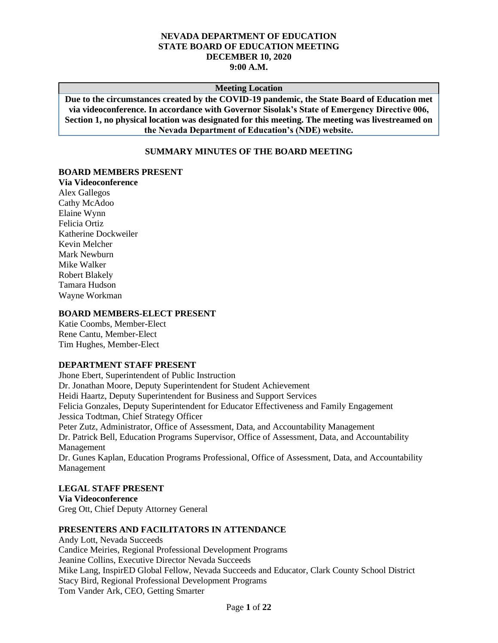#### **NEVADA DEPARTMENT OF EDUCATION STATE BOARD OF EDUCATION MEETING DECEMBER 10, 2020 9:00 A.M.**

#### **Meeting Location**

**Due to the circumstances created by the COVID-19 pandemic, the State Board of Education met via videoconference. In accordance with Governor Sisolak's State of Emergency Directive 006, Section 1, no physical location was designated for this meeting. The meeting was livestreamed on the Nevada Department of Education's (NDE) website.**

# **SUMMARY MINUTES OF THE BOARD MEETING**

#### **BOARD MEMBERS PRESENT**

**Via Videoconference** Alex Gallegos Cathy McAdoo Elaine Wynn Felicia Ortiz Katherine Dockweiler Kevin Melcher Mark Newburn Mike Walker Robert Blakely Tamara Hudson Wayne Workman

#### **BOARD MEMBERS-ELECT PRESENT**

Katie Coombs, Member-Elect Rene Cantu, Member-Elect Tim Hughes, Member-Elect

## **DEPARTMENT STAFF PRESENT**

Jhone Ebert, Superintendent of Public Instruction Dr. Jonathan Moore, Deputy Superintendent for Student Achievement Heidi Haartz, Deputy Superintendent for Business and Support Services Felicia Gonzales, Deputy Superintendent for Educator Effectiveness and Family Engagement Jessica Todtman, Chief Strategy Officer Peter Zutz, Administrator, Office of Assessment, Data, and Accountability Management Dr. Patrick Bell, Education Programs Supervisor, Office of Assessment, Data, and Accountability Management Dr. Gunes Kaplan, Education Programs Professional, Office of Assessment, Data, and Accountability Management

# **LEGAL STAFF PRESENT**

**Via Videoconference** Greg Ott, Chief Deputy Attorney General

#### **PRESENTERS AND FACILITATORS IN ATTENDANCE**

Andy Lott, Nevada Succeeds Candice Meiries, Regional Professional Development Programs Jeanine Collins, Executive Director Nevada Succeeds Mike Lang, InspirED Global Fellow, Nevada Succeeds and Educator, Clark County School District Stacy Bird, Regional Professional Development Programs Tom Vander Ark, CEO, Getting Smarter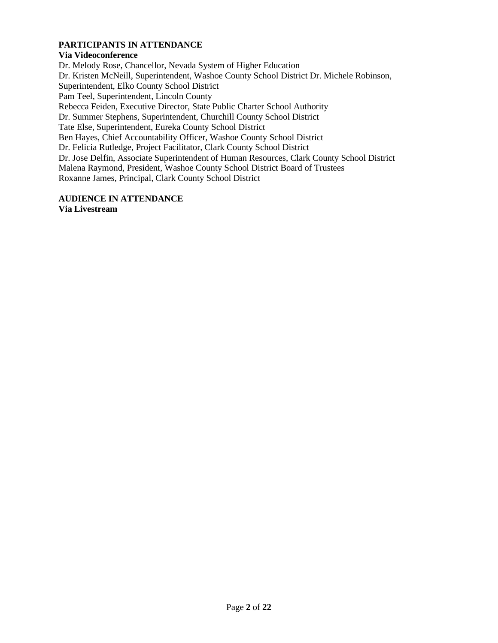# **PARTICIPANTS IN ATTENDANCE**

# **Via Videoconference**

Dr. Melody Rose, Chancellor, Nevada System of Higher Education Dr. Kristen McNeill, Superintendent, Washoe County School District Dr. Michele Robinson, Superintendent, Elko County School District Pam Teel, Superintendent, Lincoln County Rebecca Feiden, Executive Director, State Public Charter School Authority Dr. Summer Stephens, Superintendent, Churchill County School District Tate Else, Superintendent, Eureka County School District Ben Hayes, Chief Accountability Officer, Washoe County School District Dr. Felicia Rutledge, Project Facilitator, Clark County School District Dr. Jose Delfin, Associate Superintendent of Human Resources, Clark County School District Malena Raymond, President, Washoe County School District Board of Trustees Roxanne James, Principal, Clark County School District

# **AUDIENCE IN ATTENDANCE**

**Via Livestream**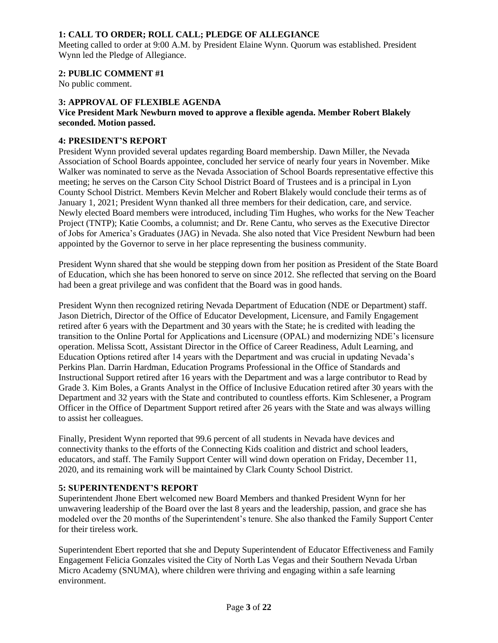# **1: CALL TO ORDER; ROLL CALL; PLEDGE OF ALLEGIANCE**

Meeting called to order at 9:00 A.M. by President Elaine Wynn. Quorum was established. President Wynn led the Pledge of Allegiance.

# **2: PUBLIC COMMENT #1**

No public comment.

# **3: APPROVAL OF FLEXIBLE AGENDA**

## **Vice President Mark Newburn moved to approve a flexible agenda. Member Robert Blakely seconded. Motion passed.**

## **4: PRESIDENT'S REPORT**

President Wynn provided several updates regarding Board membership. Dawn Miller, the Nevada Association of School Boards appointee, concluded her service of nearly four years in November. Mike Walker was nominated to serve as the Nevada Association of School Boards representative effective this meeting; he serves on the Carson City School District Board of Trustees and is a principal in Lyon County School District. Members Kevin Melcher and Robert Blakely would conclude their terms as of January 1, 2021; President Wynn thanked all three members for their dedication, care, and service. Newly elected Board members were introduced, including Tim Hughes, who works for the New Teacher Project (TNTP); Katie Coombs, a columnist; and Dr. Rene Cantu, who serves as the Executive Director of Jobs for America's Graduates (JAG) in Nevada. She also noted that Vice President Newburn had been appointed by the Governor to serve in her place representing the business community.

President Wynn shared that she would be stepping down from her position as President of the State Board of Education, which she has been honored to serve on since 2012. She reflected that serving on the Board had been a great privilege and was confident that the Board was in good hands.

President Wynn then recognized retiring Nevada Department of Education (NDE or Department) staff. Jason Dietrich, Director of the Office of Educator Development, Licensure, and Family Engagement retired after 6 years with the Department and 30 years with the State; he is credited with leading the transition to the Online Portal for Applications and Licensure (OPAL) and modernizing NDE's licensure operation. Melissa Scott, Assistant Director in the Office of Career Readiness, Adult Learning, and Education Options retired after 14 years with the Department and was crucial in updating Nevada's Perkins Plan. Darrin Hardman, Education Programs Professional in the Office of Standards and Instructional Support retired after 16 years with the Department and was a large contributor to Read by Grade 3. Kim Boles, a Grants Analyst in the Office of Inclusive Education retired after 30 years with the Department and 32 years with the State and contributed to countless efforts. Kim Schlesener, a Program Officer in the Office of Department Support retired after 26 years with the State and was always willing to assist her colleagues.

Finally, President Wynn reported that 99.6 percent of all students in Nevada have devices and connectivity thanks to the efforts of the Connecting Kids coalition and district and school leaders, educators, and staff. The Family Support Center will wind down operation on Friday, December 11, 2020, and its remaining work will be maintained by Clark County School District.

## **5: SUPERINTENDENT'S REPORT**

Superintendent Jhone Ebert welcomed new Board Members and thanked President Wynn for her unwavering leadership of the Board over the last 8 years and the leadership, passion, and grace she has modeled over the 20 months of the Superintendent's tenure. She also thanked the Family Support Center for their tireless work.

Superintendent Ebert reported that she and Deputy Superintendent of Educator Effectiveness and Family Engagement Felicia Gonzales visited the City of North Las Vegas and their Southern Nevada Urban Micro Academy (SNUMA), where children were thriving and engaging within a safe learning environment.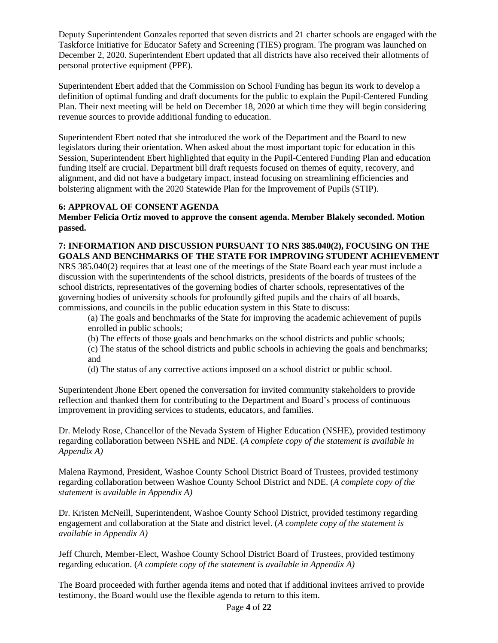Deputy Superintendent Gonzales reported that seven districts and 21 charter schools are engaged with the Taskforce Initiative for Educator Safety and Screening (TIES) program. The program was launched on December 2, 2020. Superintendent Ebert updated that all districts have also received their allotments of personal protective equipment (PPE).

Superintendent Ebert added that the Commission on School Funding has begun its work to develop a definition of optimal funding and draft documents for the public to explain the Pupil-Centered Funding Plan. Their next meeting will be held on December 18, 2020 at which time they will begin considering revenue sources to provide additional funding to education.

Superintendent Ebert noted that she introduced the work of the Department and the Board to new legislators during their orientation. When asked about the most important topic for education in this Session, Superintendent Ebert highlighted that equity in the Pupil-Centered Funding Plan and education funding itself are crucial. Department bill draft requests focused on themes of equity, recovery, and alignment, and did not have a budgetary impact, instead focusing on streamlining efficiencies and bolstering alignment with the 2020 Statewide Plan for the Improvement of Pupils (STIP).

# **6: APPROVAL OF CONSENT AGENDA**

**Member Felicia Ortiz moved to approve the consent agenda. Member Blakely seconded. Motion passed.**

# **7: INFORMATION AND DISCUSSION PURSUANT TO NRS 385.040(2), FOCUSING ON THE GOALS AND BENCHMARKS OF THE STATE FOR IMPROVING STUDENT ACHIEVEMENT**

NRS 385.040(2) requires that at least one of the meetings of the State Board each year must include a discussion with the superintendents of the school districts, presidents of the boards of trustees of the school districts, representatives of the governing bodies of charter schools, representatives of the governing bodies of university schools for profoundly gifted pupils and the chairs of all boards, commissions, and councils in the public education system in this State to discuss:

(a) The goals and benchmarks of the State for improving the academic achievement of pupils enrolled in public schools;

(b) The effects of those goals and benchmarks on the school districts and public schools;

(c) The status of the school districts and public schools in achieving the goals and benchmarks; and

(d) The status of any corrective actions imposed on a school district or public school.

Superintendent Jhone Ebert opened the conversation for invited community stakeholders to provide reflection and thanked them for contributing to the Department and Board's process of continuous improvement in providing services to students, educators, and families.

Dr. Melody Rose, Chancellor of the Nevada System of Higher Education (NSHE), provided testimony regarding collaboration between NSHE and NDE. (*A complete copy of the statement is available in Appendix A)*

Malena Raymond, President, Washoe County School District Board of Trustees, provided testimony regarding collaboration between Washoe County School District and NDE. (*A complete copy of the statement is available in Appendix A)* 

Dr. Kristen McNeill, Superintendent, Washoe County School District, provided testimony regarding engagement and collaboration at the State and district level. (*A complete copy of the statement is available in Appendix A)* 

Jeff Church, Member-Elect, Washoe County School District Board of Trustees, provided testimony regarding education. (*A complete copy of the statement is available in Appendix A)*

The Board proceeded with further agenda items and noted that if additional invitees arrived to provide testimony, the Board would use the flexible agenda to return to this item.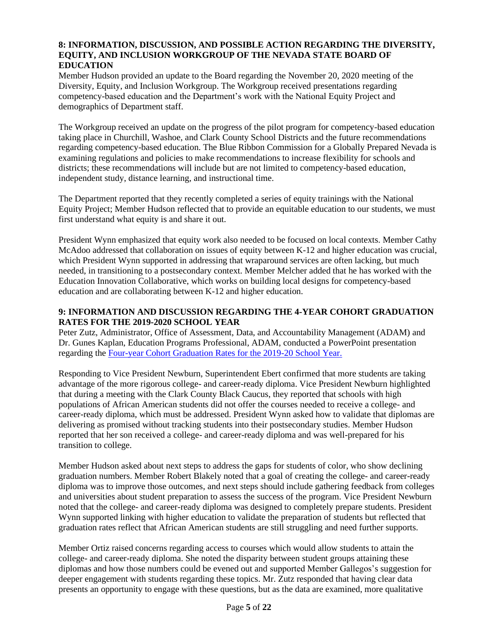# **8: INFORMATION, DISCUSSION, AND POSSIBLE ACTION REGARDING THE DIVERSITY, EQUITY, AND INCLUSION WORKGROUP OF THE NEVADA STATE BOARD OF EDUCATION**

Member Hudson provided an update to the Board regarding the November 20, 2020 meeting of the Diversity, Equity, and Inclusion Workgroup. The Workgroup received presentations regarding competency-based education and the Department's work with the National Equity Project and demographics of Department staff.

The Workgroup received an update on the progress of the pilot program for competency-based education taking place in Churchill, Washoe, and Clark County School Districts and the future recommendations regarding competency-based education. The Blue Ribbon Commission for a Globally Prepared Nevada is examining regulations and policies to make recommendations to increase flexibility for schools and districts; these recommendations will include but are not limited to competency-based education, independent study, distance learning, and instructional time.

The Department reported that they recently completed a series of equity trainings with the National Equity Project; Member Hudson reflected that to provide an equitable education to our students, we must first understand what equity is and share it out.

President Wynn emphasized that equity work also needed to be focused on local contexts. Member Cathy McAdoo addressed that collaboration on issues of equity between K-12 and higher education was crucial, which President Wynn supported in addressing that wraparound services are often lacking, but much needed, in transitioning to a postsecondary context. Member Melcher added that he has worked with the Education Innovation Collaborative, which works on building local designs for competency-based education and are collaborating between K-12 and higher education.

# **9: INFORMATION AND DISCUSSION REGARDING THE 4-YEAR COHORT GRADUATION RATES FOR THE 2019-2020 SCHOOL YEAR**

Peter Zutz, Administrator, Office of Assessment, Data, and Accountability Management (ADAM) and Dr. Gunes Kaplan, Education Programs Professional, ADAM, conducted a PowerPoint presentation regarding the [Four-year Cohort Graduation Rates for the 2019-20 School Year.](http://www.doe.nv.gov/uploadedFiles/ndedoenvgov/content/Boards_Commissions_Councils/State_Board_of_Education/2020/December/ACGRGraduationRates.pdf)

Responding to Vice President Newburn, Superintendent Ebert confirmed that more students are taking advantage of the more rigorous college- and career-ready diploma. Vice President Newburn highlighted that during a meeting with the Clark County Black Caucus, they reported that schools with high populations of African American students did not offer the courses needed to receive a college- and career-ready diploma, which must be addressed. President Wynn asked how to validate that diplomas are delivering as promised without tracking students into their postsecondary studies. Member Hudson reported that her son received a college- and career-ready diploma and was well-prepared for his transition to college.

Member Hudson asked about next steps to address the gaps for students of color, who show declining graduation numbers. Member Robert Blakely noted that a goal of creating the college- and career-ready diploma was to improve those outcomes, and next steps should include gathering feedback from colleges and universities about student preparation to assess the success of the program. Vice President Newburn noted that the college- and career-ready diploma was designed to completely prepare students. President Wynn supported linking with higher education to validate the preparation of students but reflected that graduation rates reflect that African American students are still struggling and need further supports.

Member Ortiz raised concerns regarding access to courses which would allow students to attain the college- and career-ready diploma. She noted the disparity between student groups attaining these diplomas and how those numbers could be evened out and supported Member Gallegos's suggestion for deeper engagement with students regarding these topics. Mr. Zutz responded that having clear data presents an opportunity to engage with these questions, but as the data are examined, more qualitative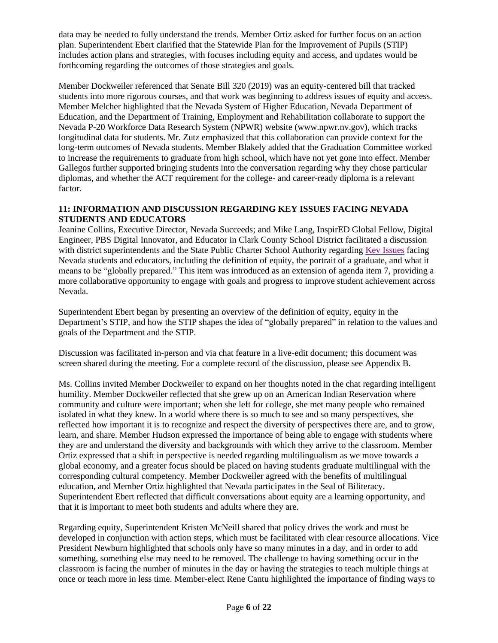data may be needed to fully understand the trends. Member Ortiz asked for further focus on an action plan. Superintendent Ebert clarified that the Statewide Plan for the Improvement of Pupils (STIP) includes action plans and strategies, with focuses including equity and access, and updates would be forthcoming regarding the outcomes of those strategies and goals.

Member Dockweiler referenced that Senate Bill 320 (2019) was an equity-centered bill that tracked students into more rigorous courses, and that work was beginning to address issues of equity and access. Member Melcher highlighted that the Nevada System of Higher Education, Nevada Department of Education, and the Department of Training, Employment and Rehabilitation collaborate to support the Nevada P-20 Workforce Data Research System (NPWR) website (www.npwr.nv.gov), which tracks longitudinal data for students. Mr. Zutz emphasized that this collaboration can provide context for the long-term outcomes of Nevada students. Member Blakely added that the Graduation Committee worked to increase the requirements to graduate from high school, which have not yet gone into effect. Member Gallegos further supported bringing students into the conversation regarding why they chose particular diplomas, and whether the ACT requirement for the college- and career-ready diploma is a relevant factor.

# **11: INFORMATION AND DISCUSSION REGARDING KEY ISSUES FACING NEVADA STUDENTS AND EDUCATORS**

Jeanine Collins, Executive Director, Nevada Succeeds; and Mike Lang, InspirED Global Fellow, Digital Engineer, PBS Digital Innovator, and Educator in Clark County School District facilitated a discussion with district superintendents and the State Public Charter School Authority regarding [Key Issues](http://www.doe.nv.gov/uploadedFiles/ndedoenvgov/content/Boards_Commissions_Councils/State_Board_of_Education/2020/December/InteractiveWorkshop.pdf) facing Nevada students and educators, including the definition of equity, the portrait of a graduate, and what it means to be "globally prepared." This item was introduced as an extension of agenda item 7, providing a more collaborative opportunity to engage with goals and progress to improve student achievement across Nevada.

Superintendent Ebert began by presenting an overview of the definition of equity, equity in the Department's STIP, and how the STIP shapes the idea of "globally prepared" in relation to the values and goals of the Department and the STIP.

Discussion was facilitated in-person and via chat feature in a live-edit document; this document was screen shared during the meeting. For a complete record of the discussion, please see Appendix B.

Ms. Collins invited Member Dockweiler to expand on her thoughts noted in the chat regarding intelligent humility. Member Dockweiler reflected that she grew up on an American Indian Reservation where community and culture were important; when she left for college, she met many people who remained isolated in what they knew. In a world where there is so much to see and so many perspectives, she reflected how important it is to recognize and respect the diversity of perspectives there are, and to grow, learn, and share. Member Hudson expressed the importance of being able to engage with students where they are and understand the diversity and backgrounds with which they arrive to the classroom. Member Ortiz expressed that a shift in perspective is needed regarding multilingualism as we move towards a global economy, and a greater focus should be placed on having students graduate multilingual with the corresponding cultural competency. Member Dockweiler agreed with the benefits of multilingual education, and Member Ortiz highlighted that Nevada participates in the Seal of Biliteracy. Superintendent Ebert reflected that difficult conversations about equity are a learning opportunity, and that it is important to meet both students and adults where they are.

Regarding equity, Superintendent Kristen McNeill shared that policy drives the work and must be developed in conjunction with action steps, which must be facilitated with clear resource allocations. Vice President Newburn highlighted that schools only have so many minutes in a day, and in order to add something, something else may need to be removed. The challenge to having something occur in the classroom is facing the number of minutes in the day or having the strategies to teach multiple things at once or teach more in less time. Member-elect Rene Cantu highlighted the importance of finding ways to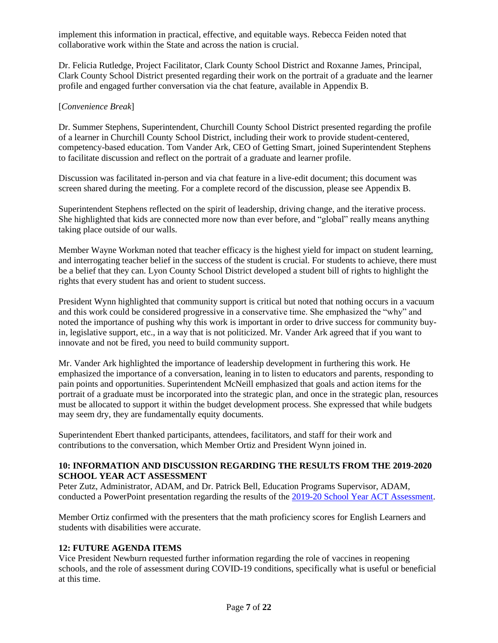implement this information in practical, effective, and equitable ways. Rebecca Feiden noted that collaborative work within the State and across the nation is crucial.

Dr. Felicia Rutledge, Project Facilitator, Clark County School District and Roxanne James, Principal, Clark County School District presented regarding their work on the portrait of a graduate and the learner profile and engaged further conversation via the chat feature, available in Appendix B.

#### [*Convenience Break*]

Dr. Summer Stephens, Superintendent, Churchill County School District presented regarding the profile of a learner in Churchill County School District, including their work to provide student-centered, competency-based education. Tom Vander Ark, CEO of Getting Smart, joined Superintendent Stephens to facilitate discussion and reflect on the portrait of a graduate and learner profile.

Discussion was facilitated in-person and via chat feature in a live-edit document; this document was screen shared during the meeting. For a complete record of the discussion, please see Appendix B.

Superintendent Stephens reflected on the spirit of leadership, driving change, and the iterative process. She highlighted that kids are connected more now than ever before, and "global" really means anything taking place outside of our walls.

Member Wayne Workman noted that teacher efficacy is the highest yield for impact on student learning, and interrogating teacher belief in the success of the student is crucial. For students to achieve, there must be a belief that they can. Lyon County School District developed a student bill of rights to highlight the rights that every student has and orient to student success.

President Wynn highlighted that community support is critical but noted that nothing occurs in a vacuum and this work could be considered progressive in a conservative time. She emphasized the "why" and noted the importance of pushing why this work is important in order to drive success for community buyin, legislative support, etc., in a way that is not politicized. Mr. Vander Ark agreed that if you want to innovate and not be fired, you need to build community support.

Mr. Vander Ark highlighted the importance of leadership development in furthering this work. He emphasized the importance of a conversation, leaning in to listen to educators and parents, responding to pain points and opportunities. Superintendent McNeill emphasized that goals and action items for the portrait of a graduate must be incorporated into the strategic plan, and once in the strategic plan, resources must be allocated to support it within the budget development process. She expressed that while budgets may seem dry, they are fundamentally equity documents.

Superintendent Ebert thanked participants, attendees, facilitators, and staff for their work and contributions to the conversation, which Member Ortiz and President Wynn joined in.

#### **10: INFORMATION AND DISCUSSION REGARDING THE RESULTS FROM THE 2019-2020 SCHOOL YEAR ACT ASSESSMENT**

Peter Zutz, Administrator, ADAM, and Dr. Patrick Bell, Education Programs Supervisor, ADAM, conducted a PowerPoint presentation regarding the results of the [2019-20 School Year ACT Assessment.](http://www.doe.nv.gov/uploadedFiles/ndedoenvgov/content/Boards_Commissions_Councils/State_Board_of_Education/2020/December/ADAMACT%20Presentation2020.pdf)

Member Ortiz confirmed with the presenters that the math proficiency scores for English Learners and students with disabilities were accurate.

#### **12: FUTURE AGENDA ITEMS**

Vice President Newburn requested further information regarding the role of vaccines in reopening schools, and the role of assessment during COVID-19 conditions, specifically what is useful or beneficial at this time.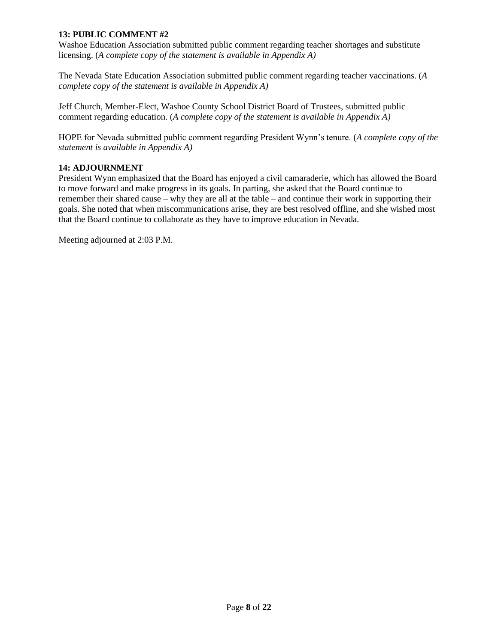# **13: PUBLIC COMMENT #2**

Washoe Education Association submitted public comment regarding teacher shortages and substitute licensing. (*A complete copy of the statement is available in Appendix A)*

The Nevada State Education Association submitted public comment regarding teacher vaccinations. (*A complete copy of the statement is available in Appendix A)*

Jeff Church, Member-Elect, Washoe County School District Board of Trustees, submitted public comment regarding education. (*A complete copy of the statement is available in Appendix A)*

HOPE for Nevada submitted public comment regarding President Wynn's tenure. (*A complete copy of the statement is available in Appendix A)*

## **14: ADJOURNMENT**

President Wynn emphasized that the Board has enjoyed a civil camaraderie, which has allowed the Board to move forward and make progress in its goals. In parting, she asked that the Board continue to remember their shared cause – why they are all at the table – and continue their work in supporting their goals. She noted that when miscommunications arise, they are best resolved offline, and she wished most that the Board continue to collaborate as they have to improve education in Nevada.

Meeting adjourned at 2:03 P.M.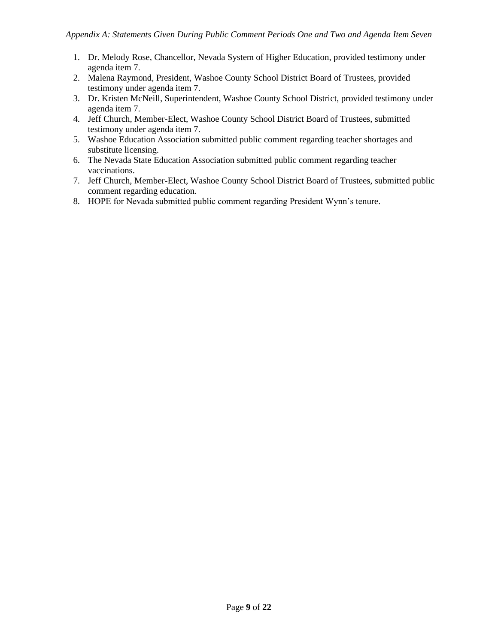- 1. Dr. Melody Rose, Chancellor, Nevada System of Higher Education, provided testimony under agenda item 7.
- 2. Malena Raymond, President, Washoe County School District Board of Trustees, provided testimony under agenda item 7.
- 3. Dr. Kristen McNeill, Superintendent, Washoe County School District, provided testimony under agenda item 7.
- 4. Jeff Church, Member-Elect, Washoe County School District Board of Trustees, submitted testimony under agenda item 7.
- 5. Washoe Education Association submitted public comment regarding teacher shortages and substitute licensing.
- 6. The Nevada State Education Association submitted public comment regarding teacher vaccinations.
- 7. Jeff Church, Member-Elect, Washoe County School District Board of Trustees, submitted public comment regarding education.
- 8. HOPE for Nevada submitted public comment regarding President Wynn's tenure.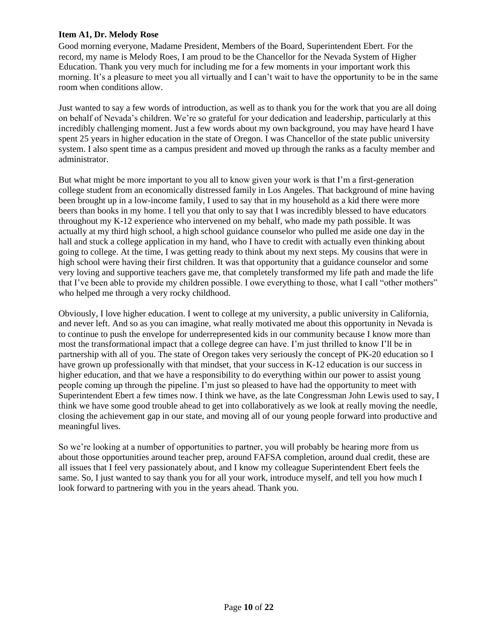## **Item A1, Dr. Melody Rose**

Good morning everyone, Madame President, Members of the Board, Superintendent Ebert. For the record, my name is Melody Roes, I am proud to be the Chancellor for the Nevada System of Higher Education. Thank you very much for including me for a few moments in your important work this morning. It's a pleasure to meet you all virtually and I can't wait to have the opportunity to be in the same room when conditions allow.

Just wanted to say a few words of introduction, as well as to thank you for the work that you are all doing on behalf of Nevada's children. We're so grateful for your dedication and leadership, particularly at this incredibly challenging moment. Just a few words about my own background, you may have heard I have spent 25 years in higher education in the state of Oregon. I was Chancellor of the state public university system. I also spent time as a campus president and moved up through the ranks as a faculty member and administrator.

But what might be more important to you all to know given your work is that I'm a first-generation college student from an economically distressed family in Los Angeles. That background of mine having been brought up in a low-income family, I used to say that in my household as a kid there were more beers than books in my home. I tell you that only to say that I was incredibly blessed to have educators throughout my K-12 experience who intervened on my behalf, who made my path possible. It was actually at my third high school, a high school guidance counselor who pulled me aside one day in the hall and stuck a college application in my hand, who I have to credit with actually even thinking about going to college. At the time, I was getting ready to think about my next steps. My cousins that were in high school were having their first children. It was that opportunity that a guidance counselor and some very loving and supportive teachers gave me, that completely transformed my life path and made the life that I've been able to provide my children possible. I owe everything to those, what I call "other mothers" who helped me through a very rocky childhood.

Obviously, I love higher education. I went to college at my university, a public university in California, and never left. And so as you can imagine, what really motivated me about this opportunity in Nevada is to continue to push the envelope for underrepresented kids in our community because I know more than most the transformational impact that a college degree can have. I'm just thrilled to know I'll be in partnership with all of you. The state of Oregon takes very seriously the concept of PK-20 education so I have grown up professionally with that mindset, that your success in K-12 education is our success in higher education, and that we have a responsibility to do everything within our power to assist young people coming up through the pipeline. I'm just so pleased to have had the opportunity to meet with Superintendent Ebert a few times now. I think we have, as the late Congressman John Lewis used to say, I think we have some good trouble ahead to get into collaboratively as we look at really moving the needle, closing the achievement gap in our state, and moving all of our young people forward into productive and meaningful lives.

So we're looking at a number of opportunities to partner, you will probably be hearing more from us about those opportunities around teacher prep, around FAFSA completion, around dual credit, these are all issues that I feel very passionately about, and I know my colleague Superintendent Ebert feels the same. So, I just wanted to say thank you for all your work, introduce myself, and tell you how much I look forward to partnering with you in the years ahead. Thank you.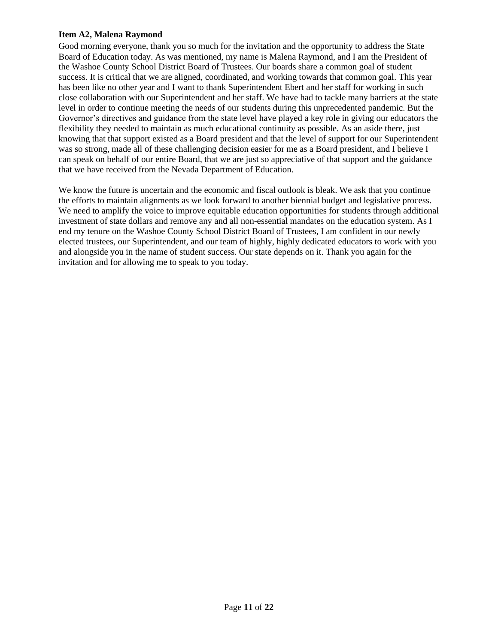# **Item A2, Malena Raymond**

Good morning everyone, thank you so much for the invitation and the opportunity to address the State Board of Education today. As was mentioned, my name is Malena Raymond, and I am the President of the Washoe County School District Board of Trustees. Our boards share a common goal of student success. It is critical that we are aligned, coordinated, and working towards that common goal. This year has been like no other year and I want to thank Superintendent Ebert and her staff for working in such close collaboration with our Superintendent and her staff. We have had to tackle many barriers at the state level in order to continue meeting the needs of our students during this unprecedented pandemic. But the Governor's directives and guidance from the state level have played a key role in giving our educators the flexibility they needed to maintain as much educational continuity as possible. As an aside there, just knowing that that support existed as a Board president and that the level of support for our Superintendent was so strong, made all of these challenging decision easier for me as a Board president, and I believe I can speak on behalf of our entire Board, that we are just so appreciative of that support and the guidance that we have received from the Nevada Department of Education.

We know the future is uncertain and the economic and fiscal outlook is bleak. We ask that you continue the efforts to maintain alignments as we look forward to another biennial budget and legislative process. We need to amplify the voice to improve equitable education opportunities for students through additional investment of state dollars and remove any and all non-essential mandates on the education system. As I end my tenure on the Washoe County School District Board of Trustees, I am confident in our newly elected trustees, our Superintendent, and our team of highly, highly dedicated educators to work with you and alongside you in the name of student success. Our state depends on it. Thank you again for the invitation and for allowing me to speak to you today.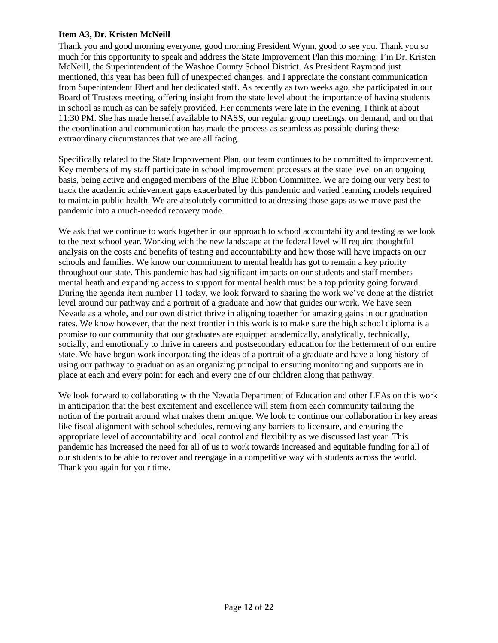# **Item A3, Dr. Kristen McNeill**

Thank you and good morning everyone, good morning President Wynn, good to see you. Thank you so much for this opportunity to speak and address the State Improvement Plan this morning. I'm Dr. Kristen McNeill, the Superintendent of the Washoe County School District. As President Raymond just mentioned, this year has been full of unexpected changes, and I appreciate the constant communication from Superintendent Ebert and her dedicated staff. As recently as two weeks ago, she participated in our Board of Trustees meeting, offering insight from the state level about the importance of having students in school as much as can be safely provided. Her comments were late in the evening, I think at about 11:30 PM. She has made herself available to NASS, our regular group meetings, on demand, and on that the coordination and communication has made the process as seamless as possible during these extraordinary circumstances that we are all facing.

Specifically related to the State Improvement Plan, our team continues to be committed to improvement. Key members of my staff participate in school improvement processes at the state level on an ongoing basis, being active and engaged members of the Blue Ribbon Committee. We are doing our very best to track the academic achievement gaps exacerbated by this pandemic and varied learning models required to maintain public health. We are absolutely committed to addressing those gaps as we move past the pandemic into a much-needed recovery mode.

We ask that we continue to work together in our approach to school accountability and testing as we look to the next school year. Working with the new landscape at the federal level will require thoughtful analysis on the costs and benefits of testing and accountability and how those will have impacts on our schools and families. We know our commitment to mental health has got to remain a key priority throughout our state. This pandemic has had significant impacts on our students and staff members mental heath and expanding access to support for mental health must be a top priority going forward. During the agenda item number 11 today, we look forward to sharing the work we've done at the district level around our pathway and a portrait of a graduate and how that guides our work. We have seen Nevada as a whole, and our own district thrive in aligning together for amazing gains in our graduation rates. We know however, that the next frontier in this work is to make sure the high school diploma is a promise to our community that our graduates are equipped academically, analytically, technically, socially, and emotionally to thrive in careers and postsecondary education for the betterment of our entire state. We have begun work incorporating the ideas of a portrait of a graduate and have a long history of using our pathway to graduation as an organizing principal to ensuring monitoring and supports are in place at each and every point for each and every one of our children along that pathway.

We look forward to collaborating with the Nevada Department of Education and other LEAs on this work in anticipation that the best excitement and excellence will stem from each community tailoring the notion of the portrait around what makes them unique. We look to continue our collaboration in key areas like fiscal alignment with school schedules, removing any barriers to licensure, and ensuring the appropriate level of accountability and local control and flexibility as we discussed last year. This pandemic has increased the need for all of us to work towards increased and equitable funding for all of our students to be able to recover and reengage in a competitive way with students across the world. Thank you again for your time.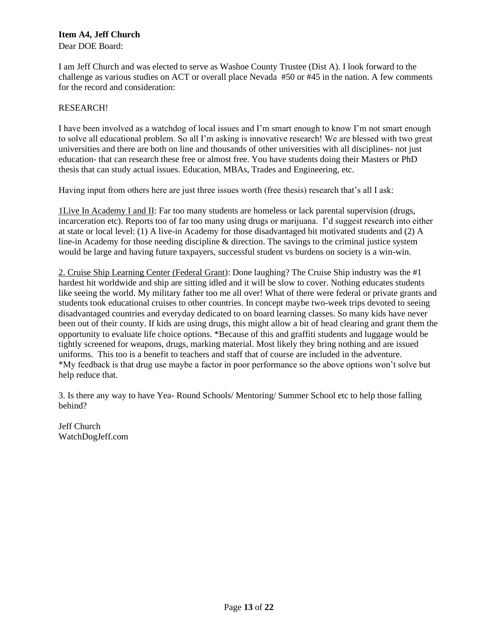# **Item A4, Jeff Church**

Dear DOE Board:

I am Jeff Church and was elected to serve as Washoe County Trustee (Dist A). I look forward to the challenge as various studies on ACT or overall place Nevada #50 or #45 in the nation. A few comments for the record and consideration:

# RESEARCH!

I have been involved as a watchdog of local issues and I'm smart enough to know I'm not smart enough to solve all educational problem. So all I'm asking is innovative research! We are blessed with two great universities and there are both on line and thousands of other universities with all disciplines- not just education- that can research these free or almost free. You have students doing their Masters or PhD thesis that can study actual issues. Education, MBAs, Trades and Engineering, etc.

Having input from others here are just three issues worth (free thesis) research that's all I ask:

1Live In Academy I and II: Far too many students are homeless or lack parental supervision (drugs, incarceration etc). Reports too of far too many using drugs or marijuana. I'd suggest research into either at state or local level: (1) A live-in Academy for those disadvantaged bit motivated students and (2) A line-in Academy for those needing discipline & direction. The savings to the criminal justice system would be large and having future taxpayers, successful student vs burdens on society is a win-win.

2. Cruise Ship Learning Center (Federal Grant): Done laughing? The Cruise Ship industry was the #1 hardest hit worldwide and ship are sitting idled and it will be slow to cover. Nothing educates students like seeing the world. My military father too me all over! What of there were federal or private grants and students took educational cruises to other countries. In concept maybe two-week trips devoted to seeing disadvantaged countries and everyday dedicated to on board learning classes. So many kids have never been out of their county. If kids are using drugs, this might allow a bit of head clearing and grant them the opportunity to evaluate life choice options. \*Because of this and graffiti students and luggage would be tightly screened for weapons, drugs, marking material. Most likely they bring nothing and are issued uniforms. This too is a benefit to teachers and staff that of course are included in the adventure. \*My feedback is that drug use maybe a factor in poor performance so the above options won't solve but help reduce that.

3. Is there any way to have Yea- Round Schools/ Mentoring/ Summer School etc to help those falling behind?

Jeff Church WatchDogJeff.com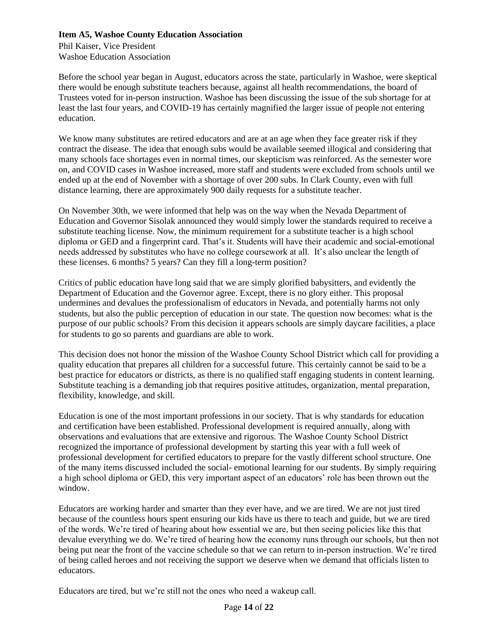# **Item A5, Washoe County Education Association**

Phil Kaiser, Vice President Washoe Education Association

Before the school year began in August, educators across the state, particularly in Washoe, were skeptical there would be enough substitute teachers because, against all health recommendations, the board of Trustees voted for in-person instruction. Washoe has been discussing the issue of the sub shortage for at least the last four years, and COVID-19 has certainly magnified the larger issue of people not entering education.

We know many substitutes are retired educators and are at an age when they face greater risk if they contract the disease. The idea that enough subs would be available seemed illogical and considering that many schools face shortages even in normal times, our skepticism was reinforced. As the semester wore on, and COVID cases in Washoe increased, more staff and students were excluded from schools until we ended up at the end of November with a shortage of over 200 subs. In Clark County, even with full distance learning, there are approximately 900 daily requests for a substitute teacher.

On November 30th, we were informed that help was on the way when the Nevada Department of Education and Governor Sisolak announced they would simply lower the standards required to receive a substitute teaching license. Now, the minimum requirement for a substitute teacher is a high school diploma or GED and a fingerprint card. That's it. Students will have their academic and social-emotional needs addressed by substitutes who have no college coursework at all. It's also unclear the length of these licenses. 6 months? 5 years? Can they fill a long-term position?

Critics of public education have long said that we are simply glorified babysitters, and evidently the Department of Education and the Governor agree. Except, there is no glory either. This proposal undermines and devalues the professionalism of educators in Nevada, and potentially harms not only students, but also the public perception of education in our state. The question now becomes: what is the purpose of our public schools? From this decision it appears schools are simply daycare facilities, a place for students to go so parents and guardians are able to work.

This decision does not honor the mission of the Washoe County School District which call for providing a quality education that prepares all children for a successful future. This certainly cannot be said to be a best practice for educators or districts, as there is no qualified staff engaging students in content learning. Substitute teaching is a demanding job that requires positive attitudes, organization, mental preparation, flexibility, knowledge, and skill.

Education is one of the most important professions in our society. That is why standards for education and certification have been established. Professional development is required annually, along with observations and evaluations that are extensive and rigorous. The Washoe County School District recognized the importance of professional development by starting this year with a full week of professional development for certified educators to prepare for the vastly different school structure. One of the many items discussed included the social- emotional learning for our students. By simply requiring a high school diploma or GED, this very important aspect of an educators' role has been thrown out the window.

Educators are working harder and smarter than they ever have, and we are tired. We are not just tired because of the countless hours spent ensuring our kids have us there to teach and guide, but we are tired of the words. We're tired of hearing about how essential we are, but then seeing policies like this that devalue everything we do. We're tired of hearing how the economy runs through our schools, but then not being put near the front of the vaccine schedule so that we can return to in-person instruction. We're tired of being called heroes and not receiving the support we deserve when we demand that officials listen to educators.

Educators are tired, but we're still not the ones who need a wakeup call.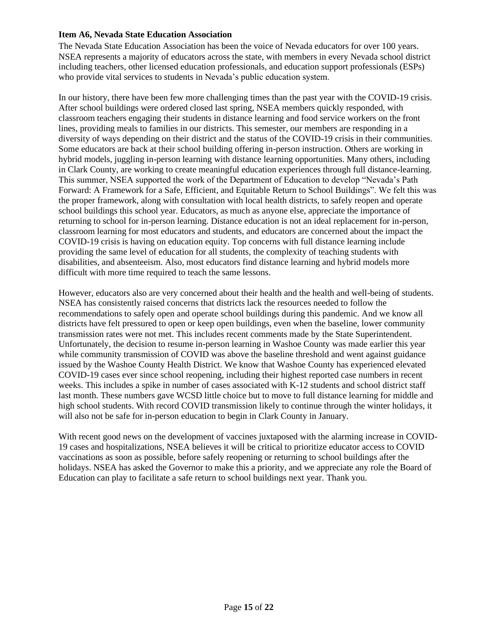# **Item A6, Nevada State Education Association**

The Nevada State Education Association has been the voice of Nevada educators for over 100 years. NSEA represents a majority of educators across the state, with members in every Nevada school district including teachers, other licensed education professionals, and education support professionals (ESPs) who provide vital services to students in Nevada's public education system.

In our history, there have been few more challenging times than the past year with the COVID-19 crisis. After school buildings were ordered closed last spring, NSEA members quickly responded, with classroom teachers engaging their students in distance learning and food service workers on the front lines, providing meals to families in our districts. This semester, our members are responding in a diversity of ways depending on their district and the status of the COVID-19 crisis in their communities. Some educators are back at their school building offering in-person instruction. Others are working in hybrid models, juggling in-person learning with distance learning opportunities. Many others, including in Clark County, are working to create meaningful education experiences through full distance-learning. This summer, NSEA supported the work of the Department of Education to develop "Nevada's Path Forward: A Framework for a Safe, Efficient, and Equitable Return to School Buildings". We felt this was the proper framework, along with consultation with local health districts, to safely reopen and operate school buildings this school year. Educators, as much as anyone else, appreciate the importance of returning to school for in-person learning. Distance education is not an ideal replacement for in-person, classroom learning for most educators and students, and educators are concerned about the impact the COVID-19 crisis is having on education equity. Top concerns with full distance learning include providing the same level of education for all students, the complexity of teaching students with disabilities, and absenteeism. Also, most educators find distance learning and hybrid models more difficult with more time required to teach the same lessons.

However, educators also are very concerned about their health and the health and well-being of students. NSEA has consistently raised concerns that districts lack the resources needed to follow the recommendations to safely open and operate school buildings during this pandemic. And we know all districts have felt pressured to open or keep open buildings, even when the baseline, lower community transmission rates were not met. This includes recent comments made by the State Superintendent. Unfortunately, the decision to resume in-person learning in Washoe County was made earlier this year while community transmission of COVID was above the baseline threshold and went against guidance issued by the Washoe County Health District. We know that Washoe County has experienced elevated COVID-19 cases ever since school reopening, including their highest reported case numbers in recent weeks. This includes a spike in number of cases associated with K-12 students and school district staff last month. These numbers gave WCSD little choice but to move to full distance learning for middle and high school students. With record COVID transmission likely to continue through the winter holidays, it will also not be safe for in-person education to begin in Clark County in January.

With recent good news on the development of vaccines juxtaposed with the alarming increase in COVID-19 cases and hospitalizations, NSEA believes it will be critical to prioritize educator access to COVID vaccinations as soon as possible, before safely reopening or returning to school buildings after the holidays. NSEA has asked the Governor to make this a priority, and we appreciate any role the Board of Education can play to facilitate a safe return to school buildings next year. Thank you.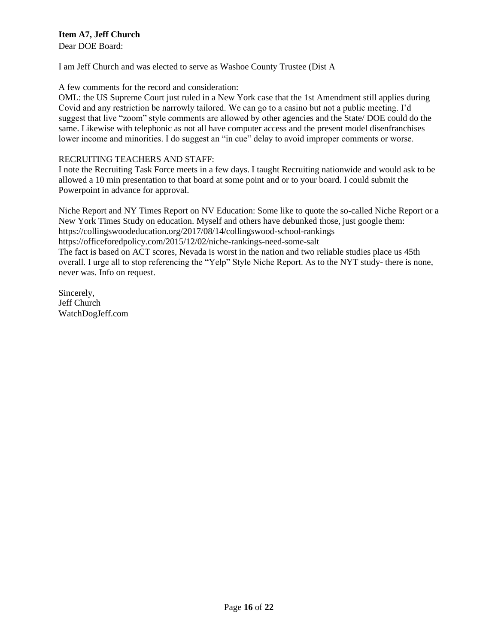# **Item A7, Jeff Church**

Dear DOE Board:

I am Jeff Church and was elected to serve as Washoe County Trustee (Dist A

# A few comments for the record and consideration:

OML: the US Supreme Court just ruled in a New York case that the 1st Amendment still applies during Covid and any restriction be narrowly tailored. We can go to a casino but not a public meeting. I'd suggest that live "zoom" style comments are allowed by other agencies and the State/ DOE could do the same. Likewise with telephonic as not all have computer access and the present model disenfranchises lower income and minorities. I do suggest an "in cue" delay to avoid improper comments or worse.

# RECRUITING TEACHERS AND STAFF:

I note the Recruiting Task Force meets in a few days. I taught Recruiting nationwide and would ask to be allowed a 10 min presentation to that board at some point and or to your board. I could submit the Powerpoint in advance for approval.

Niche Report and NY Times Report on NV Education: Some like to quote the so-called Niche Report or a New York Times Study on education. Myself and others have debunked those, just google them: https://collingswoodeducation.org/2017/08/14/collingswood-school-rankings https://officeforedpolicy.com/2015/12/02/niche-rankings-need-some-salt The fact is based on ACT scores, Nevada is worst in the nation and two reliable studies place us 45th overall. I urge all to stop referencing the "Yelp" Style Niche Report. As to the NYT study- there is none, never was. Info on request.

Sincerely, Jeff Church WatchDogJeff.com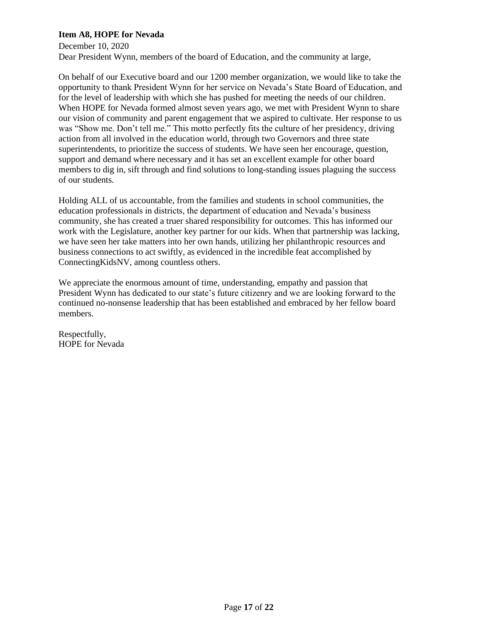# **Item A8, HOPE for Nevada**

December 10, 2020 Dear President Wynn, members of the board of Education, and the community at large,

On behalf of our Executive board and our 1200 member organization, we would like to take the opportunity to thank President Wynn for her service on Nevada's State Board of Education, and for the level of leadership with which she has pushed for meeting the needs of our children. When HOPE for Nevada formed almost seven years ago, we met with President Wynn to share our vision of community and parent engagement that we aspired to cultivate. Her response to us was "Show me. Don't tell me." This motto perfectly fits the culture of her presidency, driving action from all involved in the education world, through two Governors and three state superintendents, to prioritize the success of students. We have seen her encourage, question, support and demand where necessary and it has set an excellent example for other board members to dig in, sift through and find solutions to long-standing issues plaguing the success of our students.

Holding ALL of us accountable, from the families and students in school communities, the education professionals in districts, the department of education and Nevada's business community, she has created a truer shared responsibility for outcomes. This has informed our work with the Legislature, another key partner for our kids. When that partnership was lacking, we have seen her take matters into her own hands, utilizing her philanthropic resources and business connections to act swiftly, as evidenced in the incredible feat accomplished by ConnectingKidsNV, among countless others.

We appreciate the enormous amount of time, understanding, empathy and passion that President Wynn has dedicated to our state's future citizenry and we are looking forward to the continued no-nonsense leadership that has been established and embraced by her fellow board members.

Respectfully, HOPE for Nevada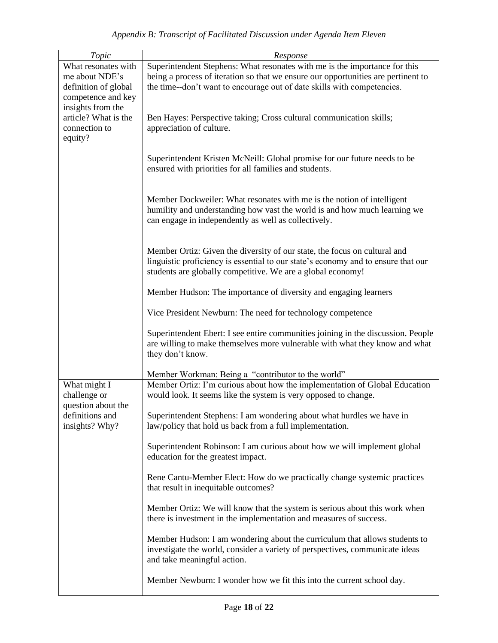| Topic                                                                                                                                                        | Response                                                                                                                                                                                                                                   |
|--------------------------------------------------------------------------------------------------------------------------------------------------------------|--------------------------------------------------------------------------------------------------------------------------------------------------------------------------------------------------------------------------------------------|
| What resonates with<br>me about NDE's<br>definition of global<br>competence and key<br>insights from the<br>article? What is the<br>connection to<br>equity? | Superintendent Stephens: What resonates with me is the importance for this<br>being a process of iteration so that we ensure our opportunities are pertinent to<br>the time--don't want to encourage out of date skills with competencies. |
|                                                                                                                                                              | Ben Hayes: Perspective taking; Cross cultural communication skills;<br>appreciation of culture.                                                                                                                                            |
|                                                                                                                                                              | Superintendent Kristen McNeill: Global promise for our future needs to be<br>ensured with priorities for all families and students.                                                                                                        |
|                                                                                                                                                              | Member Dockweiler: What resonates with me is the notion of intelligent<br>humility and understanding how vast the world is and how much learning we<br>can engage in independently as well as collectively.                                |
|                                                                                                                                                              | Member Ortiz: Given the diversity of our state, the focus on cultural and<br>linguistic proficiency is essential to our state's economy and to ensure that our<br>students are globally competitive. We are a global economy!              |
|                                                                                                                                                              | Member Hudson: The importance of diversity and engaging learners                                                                                                                                                                           |
|                                                                                                                                                              | Vice President Newburn: The need for technology competence                                                                                                                                                                                 |
|                                                                                                                                                              | Superintendent Ebert: I see entire communities joining in the discussion. People<br>are willing to make themselves more vulnerable with what they know and what<br>they don't know.                                                        |
|                                                                                                                                                              | Member Workman: Being a "contributor to the world"                                                                                                                                                                                         |
| What might I<br>challenge or<br>question about the<br>definitions and<br>insights? Why?                                                                      | Member Ortiz: I'm curious about how the implementation of Global Education<br>would look. It seems like the system is very opposed to change.                                                                                              |
|                                                                                                                                                              | Superintendent Stephens: I am wondering about what hurdles we have in<br>law/policy that hold us back from a full implementation.                                                                                                          |
|                                                                                                                                                              | Superintendent Robinson: I am curious about how we will implement global<br>education for the greatest impact.                                                                                                                             |
|                                                                                                                                                              | Rene Cantu-Member Elect: How do we practically change systemic practices<br>that result in inequitable outcomes?                                                                                                                           |
|                                                                                                                                                              | Member Ortiz: We will know that the system is serious about this work when<br>there is investment in the implementation and measures of success.                                                                                           |
|                                                                                                                                                              | Member Hudson: I am wondering about the curriculum that allows students to<br>investigate the world, consider a variety of perspectives, communicate ideas<br>and take meaningful action.                                                  |
|                                                                                                                                                              | Member Newburn: I wonder how we fit this into the current school day.                                                                                                                                                                      |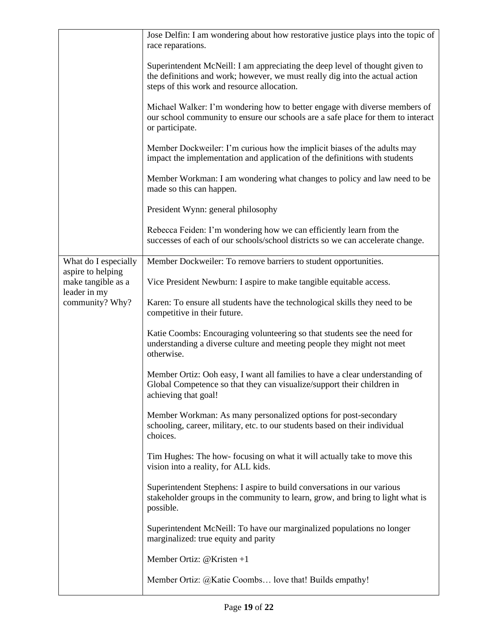|                                         | Jose Delfin: I am wondering about how restorative justice plays into the topic of<br>race reparations.                                                                                                      |
|-----------------------------------------|-------------------------------------------------------------------------------------------------------------------------------------------------------------------------------------------------------------|
|                                         | Superintendent McNeill: I am appreciating the deep level of thought given to<br>the definitions and work; however, we must really dig into the actual action<br>steps of this work and resource allocation. |
|                                         | Michael Walker: I'm wondering how to better engage with diverse members of<br>our school community to ensure our schools are a safe place for them to interact<br>or participate.                           |
|                                         | Member Dockweiler: I'm curious how the implicit biases of the adults may<br>impact the implementation and application of the definitions with students                                                      |
|                                         | Member Workman: I am wondering what changes to policy and law need to be<br>made so this can happen.                                                                                                        |
|                                         | President Wynn: general philosophy                                                                                                                                                                          |
|                                         | Rebecca Feiden: I'm wondering how we can efficiently learn from the<br>successes of each of our schools/school districts so we can accelerate change.                                                       |
| What do I especially                    | Member Dockweiler: To remove barriers to student opportunities.                                                                                                                                             |
| aspire to helping<br>make tangible as a | Vice President Newburn: I aspire to make tangible equitable access.                                                                                                                                         |
| leader in my<br>community? Why?         | Karen: To ensure all students have the technological skills they need to be<br>competitive in their future.                                                                                                 |
|                                         | Katie Coombs: Encouraging volunteering so that students see the need for<br>understanding a diverse culture and meeting people they might not meet<br>otherwise.                                            |
|                                         | Member Ortiz: Ooh easy, I want all families to have a clear understanding of<br>Global Competence so that they can visualize/support their children in<br>achieving that goal!                              |
|                                         | Member Workman: As many personalized options for post-secondary<br>schooling, career, military, etc. to our students based on their individual<br>choices.                                                  |
|                                         | Tim Hughes: The how-focusing on what it will actually take to move this<br>vision into a reality, for ALL kids.                                                                                             |
|                                         | Superintendent Stephens: I aspire to build conversations in our various<br>stakeholder groups in the community to learn, grow, and bring to light what is<br>possible.                                      |
|                                         | Superintendent McNeill: To have our marginalized populations no longer<br>marginalized: true equity and parity                                                                                              |
|                                         | Member Ortiz: $@$ Kristen +1                                                                                                                                                                                |
|                                         | Member Ortiz: @Katie Coombs love that! Builds empathy!                                                                                                                                                      |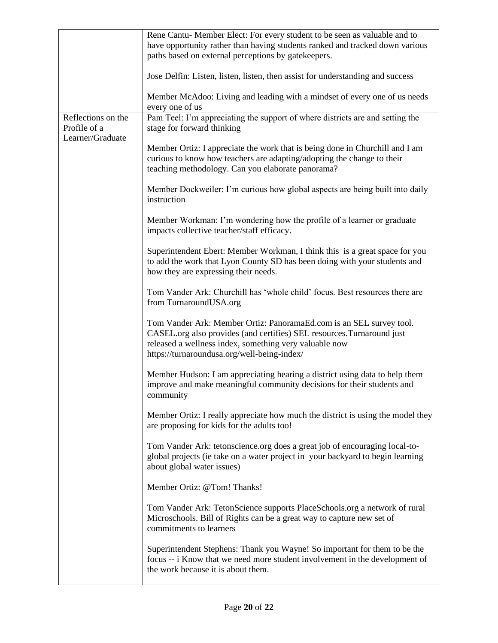|                                  | Rene Cantu- Member Elect: For every student to be seen as valuable and to                                                                                                                                                                              |
|----------------------------------|--------------------------------------------------------------------------------------------------------------------------------------------------------------------------------------------------------------------------------------------------------|
|                                  | have opportunity rather than having students ranked and tracked down various<br>paths based on external perceptions by gatekeepers.                                                                                                                    |
|                                  |                                                                                                                                                                                                                                                        |
|                                  | Jose Delfin: Listen, listen, listen, then assist for understanding and success                                                                                                                                                                         |
|                                  | Member McAdoo: Living and leading with a mindset of every one of us needs<br>every one of us                                                                                                                                                           |
| Reflections on the               | Pam Teel: I'm appreciating the support of where districts are and setting the                                                                                                                                                                          |
| Profile of a<br>Learner/Graduate | stage for forward thinking                                                                                                                                                                                                                             |
|                                  | Member Ortiz: I appreciate the work that is being done in Churchill and I am<br>curious to know how teachers are adapting/adopting the change to their<br>teaching methodology. Can you elaborate panorama?                                            |
|                                  | Member Dockweiler: I'm curious how global aspects are being built into daily<br>instruction                                                                                                                                                            |
|                                  | Member Workman: I'm wondering how the profile of a learner or graduate<br>impacts collective teacher/staff efficacy.                                                                                                                                   |
|                                  | Superintendent Ebert: Member Workman, I think this is a great space for you<br>to add the work that Lyon County SD has been doing with your students and<br>how they are expressing their needs.                                                       |
|                                  | Tom Vander Ark: Churchill has 'whole child' focus. Best resources there are<br>from TurnaroundUSA.org                                                                                                                                                  |
|                                  | Tom Vander Ark: Member Ortiz: PanoramaEd.com is an SEL survey tool.<br>CASEL.org also provides (and certifies) SEL resources. Turnaround just<br>released a wellness index, something very valuable now<br>https://turnaroundusa.org/well-being-index/ |
|                                  | Member Hudson: I am appreciating hearing a district using data to help them<br>improve and make meaningful community decisions for their students and<br>community                                                                                     |
|                                  | Member Ortiz: I really appreciate how much the district is using the model they<br>are proposing for kids for the adults too!                                                                                                                          |
|                                  | Tom Vander Ark: tetonscience.org does a great job of encouraging local-to-<br>global projects (ie take on a water project in your backyard to begin learning<br>about global water issues)                                                             |
|                                  | Member Ortiz: @Tom! Thanks!                                                                                                                                                                                                                            |
|                                  | Tom Vander Ark: TetonScience supports PlaceSchools.org a network of rural<br>Microschools. Bill of Rights can be a great way to capture new set of<br>commitments to learners                                                                          |
|                                  | Superintendent Stephens: Thank you Wayne! So important for them to be the<br>focus -- i Know that we need more student involvement in the development of<br>the work because it is about them.                                                         |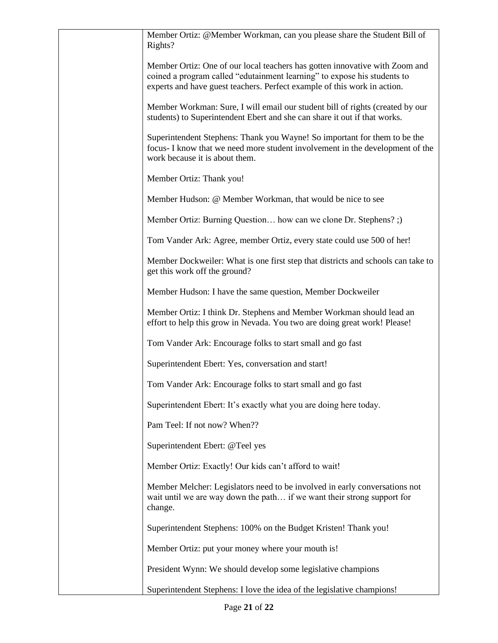| Member Ortiz: @Member Workman, can you please share the Student Bill of<br>Rights?                                                                                                                                                  |
|-------------------------------------------------------------------------------------------------------------------------------------------------------------------------------------------------------------------------------------|
| Member Ortiz: One of our local teachers has gotten innovative with Zoom and<br>coined a program called "edutainment learning" to expose his students to<br>experts and have guest teachers. Perfect example of this work in action. |
| Member Workman: Sure, I will email our student bill of rights (created by our<br>students) to Superintendent Ebert and she can share it out if that works.                                                                          |
| Superintendent Stephens: Thank you Wayne! So important for them to be the<br>focus- I know that we need more student involvement in the development of the<br>work because it is about them.                                        |
| Member Ortiz: Thank you!                                                                                                                                                                                                            |
| Member Hudson: @ Member Workman, that would be nice to see                                                                                                                                                                          |
| Member Ortiz: Burning Question how can we clone Dr. Stephens? ;)                                                                                                                                                                    |
| Tom Vander Ark: Agree, member Ortiz, every state could use 500 of her!                                                                                                                                                              |
| Member Dockweiler: What is one first step that districts and schools can take to<br>get this work off the ground?                                                                                                                   |
| Member Hudson: I have the same question, Member Dockweiler                                                                                                                                                                          |
| Member Ortiz: I think Dr. Stephens and Member Workman should lead an<br>effort to help this grow in Nevada. You two are doing great work! Please!                                                                                   |
| Tom Vander Ark: Encourage folks to start small and go fast                                                                                                                                                                          |
| Superintendent Ebert: Yes, conversation and start!                                                                                                                                                                                  |
| Tom Vander Ark: Encourage folks to start small and go fast                                                                                                                                                                          |
| Superintendent Ebert: It's exactly what you are doing here today.                                                                                                                                                                   |
| Pam Teel: If not now? When??                                                                                                                                                                                                        |
| Superintendent Ebert: @Teel yes                                                                                                                                                                                                     |
| Member Ortiz: Exactly! Our kids can't afford to wait!                                                                                                                                                                               |
| Member Melcher: Legislators need to be involved in early conversations not<br>wait until we are way down the path if we want their strong support for<br>change.                                                                    |
| Superintendent Stephens: 100% on the Budget Kristen! Thank you!                                                                                                                                                                     |
| Member Ortiz: put your money where your mouth is!                                                                                                                                                                                   |
| President Wynn: We should develop some legislative champions                                                                                                                                                                        |
| Superintendent Stephens: I love the idea of the legislative champions!                                                                                                                                                              |